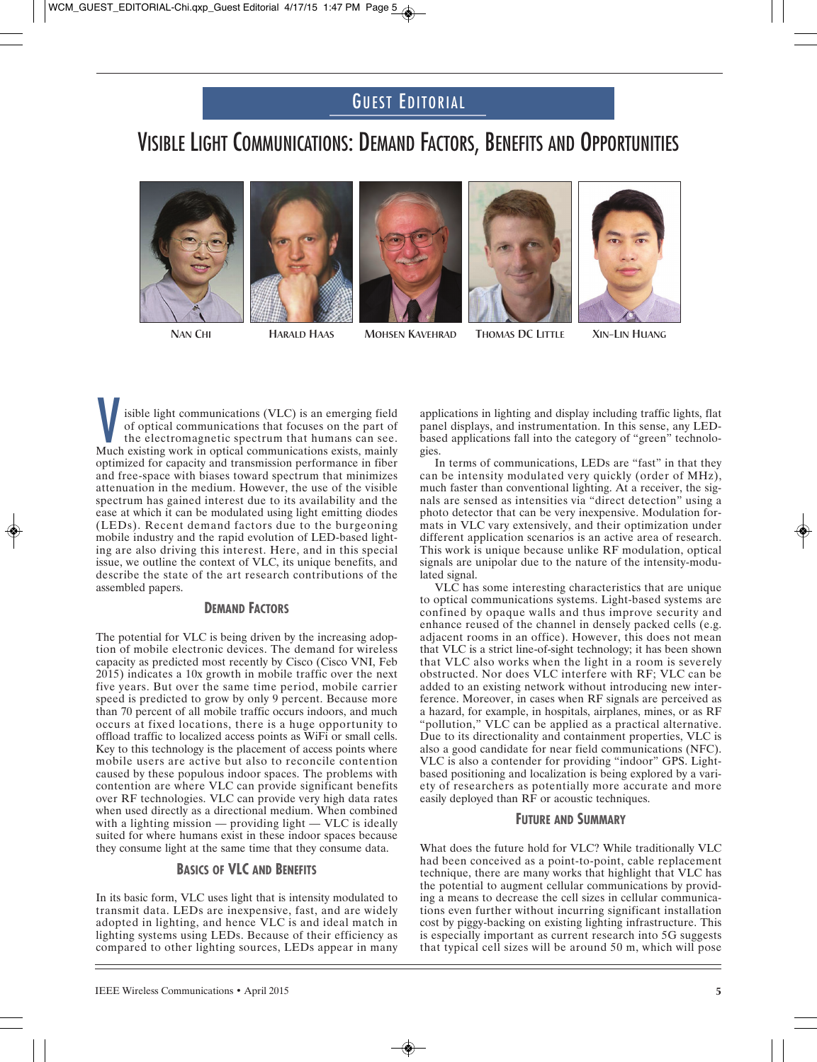# GUEST EDITORIAL

# VISIBLE LIGHT COMMUNICATIONS: DEMAND FACTORS, BENEFITS AND OPPORTUNITIES













**NAN CHI HARALD HAAS MOHSEN KAVEHRAD THOMAS DC LITTLE XIN-LIN HUANG**



isible light communications (VLC) is an emerging field of optical communications that focuses on the part of the electromagnetic spectrum that humans can see. Isible light communications (VLC) is an emerging field<br>of optical communications that focuses on the part of<br>the electromagnetic spectrum that humans can see.<br>Much existing work in optical communications exists, mainly optimized for capacity and transmission performance in fiber and free-space with biases toward spectrum that minimizes attenuation in the medium. However, the use of the visible spectrum has gained interest due to its availability and the ease at which it can be modulated using light emitting diodes (LEDs). Recent demand factors due to the burgeoning mobile industry and the rapid evolution of LED-based lighting are also driving this interest. Here, and in this special issue, we outline the context of VLC, its unique benefits, and describe the state of the art research contributions of the assembled papers.

### **DEMAND FACTORS**

The potential for VLC is being driven by the increasing adoption of mobile electronic devices. The demand for wireless capacity as predicted most recently by Cisco (Cisco VNI, Feb 2015) indicates a 10x growth in mobile traffic over the next five years. But over the same time period, mobile carrier speed is predicted to grow by only 9 percent. Because more than 70 percent of all mobile traffic occurs indoors, and much occurs at fixed locations, there is a huge opportunity to offload traffic to localized access points as WiFi or small cells. Key to this technology is the placement of access points where mobile users are active but also to reconcile contention caused by these populous indoor spaces. The problems with contention are where VLC can provide significant benefits over RF technologies. VLC can provide very high data rates when used directly as a directional medium. When combined with a lighting mission — providing light — VLC is ideally suited for where humans exist in these indoor spaces because they consume light at the same time that they consume data.

### **BASICS OF VLC AND BENEFITS**

In its basic form, VLC uses light that is intensity modulated to transmit data. LEDs are inexpensive, fast, and are widely adopted in lighting, and hence VLC is and ideal match in lighting systems using LEDs. Because of their efficiency as compared to other lighting sources, LEDs appear in many applications in lighting and display including traffic lights, flat panel displays, and instrumentation. In this sense, any LEDbased applications fall into the category of "green" technologies.

In terms of communications, LEDs are "fast" in that they can be intensity modulated very quickly (order of MHz), much faster than conventional lighting. At a receiver, the signals are sensed as intensities via "direct detection" using a photo detector that can be very inexpensive. Modulation formats in VLC vary extensively, and their optimization under different application scenarios is an active area of research. This work is unique because unlike RF modulation, optical signals are unipolar due to the nature of the intensity-modulated signal.

VLC has some interesting characteristics that are unique to optical communications systems. Light-based systems are confined by opaque walls and thus improve security and enhance reused of the channel in densely packed cells (e.g. adjacent rooms in an office). However, this does not mean that VLC is a strict line-of-sight technology; it has been shown that VLC also works when the light in a room is severely obstructed. Nor does VLC interfere with RF; VLC can be added to an existing network without introducing new interference. Moreover, in cases when RF signals are perceived as a hazard, for example, in hospitals, airplanes, mines, or as RF "pollution," VLC can be applied as a practical alternative. Due to its directionality and containment properties, VLC is also a good candidate for near field communications (NFC). VLC is also a contender for providing "indoor" GPS. Lightbased positioning and localization is being explored by a variety of researchers as potentially more accurate and more easily deployed than RF or acoustic techniques.

### **FUTURE AND SUMMARY**

What does the future hold for VLC? While traditionally VLC had been conceived as a point-to-point, cable replacement technique, there are many works that highlight that VLC has the potential to augment cellular communications by providing a means to decrease the cell sizes in cellular communications even further without incurring significant installation cost by piggy-backing on existing lighting infrastructure. This is especially important as current research into 5G suggests that typical cell sizes will be around 50 m, which will pose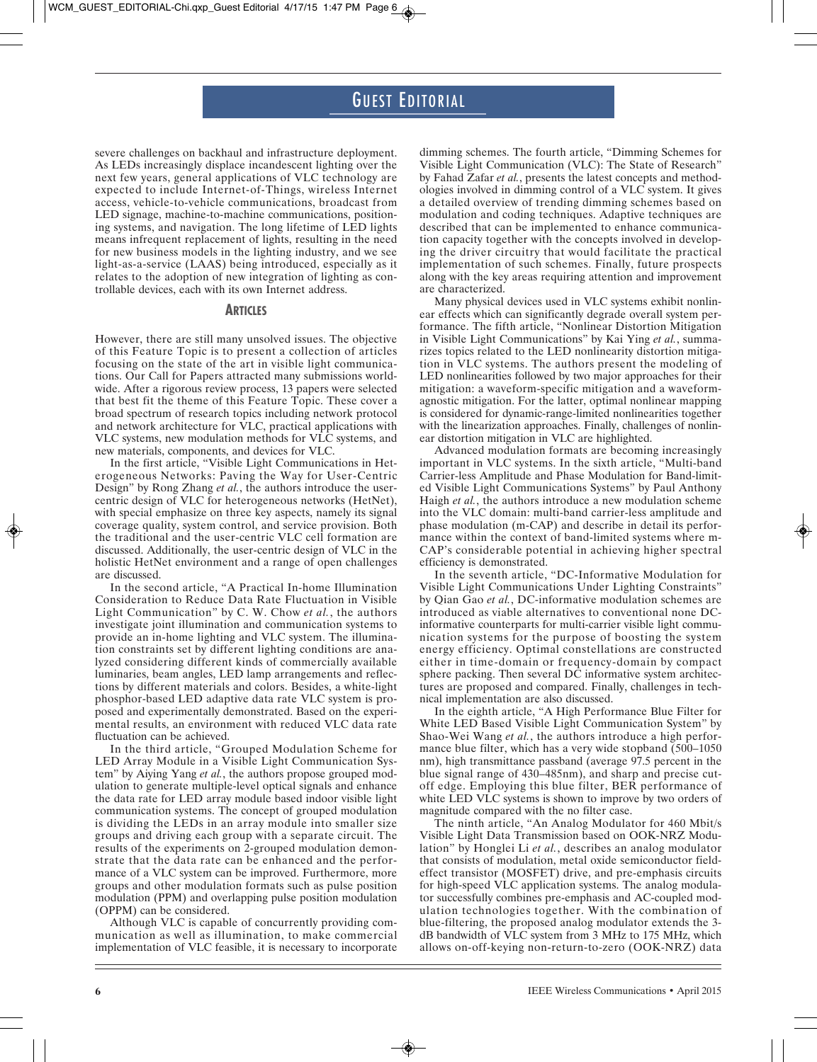## GUEST EDITORIAL

severe challenges on backhaul and infrastructure deployment. As LEDs increasingly displace incandescent lighting over the next few years, general applications of VLC technology are expected to include Internet-of-Things, wireless Internet access, vehicle-to-vehicle communications, broadcast from LED signage, machine-to-machine communications, positioning systems, and navigation. The long lifetime of LED lights means infrequent replacement of lights, resulting in the need for new business models in the lighting industry, and we see light-as-a-service (LAAS) being introduced, especially as it relates to the adoption of new integration of lighting as controllable devices, each with its own Internet address.

#### **ARTICLES**

However, there are still many unsolved issues. The objective of this Feature Topic is to present a collection of articles focusing on the state of the art in visible light communications. Our Call for Papers attracted many submissions worldwide. After a rigorous review process, 13 papers were selected that best fit the theme of this Feature Topic. These cover a broad spectrum of research topics including network protocol and network architecture for VLC, practical applications with VLC systems, new modulation methods for VLC systems, and new materials, components, and devices for VLC.

In the first article, "Visible Light Communications in Heterogeneous Networks: Paving the Way for User-Centric Design" by Rong Zhang *et al.*, the authors introduce the usercentric design of VLC for heterogeneous networks (HetNet), with special emphasize on three key aspects, namely its signal coverage quality, system control, and service provision. Both the traditional and the user-centric VLC cell formation are discussed. Additionally, the user-centric design of VLC in the holistic HetNet environment and a range of open challenges are discussed.

In the second article, "A Practical In-home Illumination Consideration to Reduce Data Rate Fluctuation in Visible Light Communication" by C. W. Chow *et al.*, the authors investigate joint illumination and communication systems to provide an in-home lighting and VLC system. The illumination constraints set by different lighting conditions are analyzed considering different kinds of commercially available luminaries, beam angles, LED lamp arrangements and reflections by different materials and colors. Besides, a white-light phosphor-based LED adaptive data rate VLC system is proposed and experimentally demonstrated. Based on the experimental results, an environment with reduced VLC data rate fluctuation can be achieved.

In the third article, "Grouped Modulation Scheme for LED Array Module in a Visible Light Communication System" by Aiying Yang *et al.*, the authors propose grouped modulation to generate multiple-level optical signals and enhance the data rate for LED array module based indoor visible light communication systems. The concept of grouped modulation is dividing the LEDs in an array module into smaller size groups and driving each group with a separate circuit. The results of the experiments on 2-grouped modulation demonstrate that the data rate can be enhanced and the performance of a VLC system can be improved. Furthermore, more groups and other modulation formats such as pulse position modulation (PPM) and overlapping pulse position modulation (OPPM) can be considered.

Although VLC is capable of concurrently providing communication as well as illumination, to make commercial implementation of VLC feasible, it is necessary to incorporate dimming schemes. The fourth article, "Dimming Schemes for Visible Light Communication (VLC): The State of Research" by Fahad Zafar *et al.*, presents the latest concepts and methodologies involved in dimming control of a VLC system. It gives a detailed overview of trending dimming schemes based on modulation and coding techniques. Adaptive techniques are described that can be implemented to enhance communication capacity together with the concepts involved in developing the driver circuitry that would facilitate the practical implementation of such schemes. Finally, future prospects along with the key areas requiring attention and improvement are characterized.

Many physical devices used in VLC systems exhibit nonlinear effects which can significantly degrade overall system performance. The fifth article, "Nonlinear Distortion Mitigation in Visible Light Communications" by Kai Ying *et al.*, summarizes topics related to the LED nonlinearity distortion mitigation in VLC systems. The authors present the modeling of LED nonlinearities followed by two major approaches for their mitigation: a waveform-specific mitigation and a waveformagnostic mitigation. For the latter, optimal nonlinear mapping is considered for dynamic-range-limited nonlinearities together with the linearization approaches. Finally, challenges of nonlinear distortion mitigation in VLC are highlighted.

Advanced modulation formats are becoming increasingly important in VLC systems. In the sixth article, "Multi-band Carrier-less Amplitude and Phase Modulation for Band-limited Visible Light Communications Systems" by Paul Anthony Haigh *et al.*, the authors introduce a new modulation scheme into the VLC domain: multi-band carrier-less amplitude and phase modulation (m-CAP) and describe in detail its performance within the context of band-limited systems where m-CAP's considerable potential in achieving higher spectral efficiency is demonstrated.

In the seventh article, "DC-Informative Modulation for Visible Light Communications Under Lighting Constraints" by Qian Gao *et al.*, DC-informative modulation schemes are introduced as viable alternatives to conventional none DCinformative counterparts for multi-carrier visible light communication systems for the purpose of boosting the system energy efficiency. Optimal constellations are constructed either in time-domain or frequency-domain by compact sphere packing. Then several DC informative system architectures are proposed and compared. Finally, challenges in technical implementation are also discussed.

In the eighth article, "A High Performance Blue Filter for White LED Based Visible Light Communication System" by Shao-Wei Wang *et al.*, the authors introduce a high performance blue filter, which has a very wide stopband (500–1050 nm), high transmittance passband (average 97.5 percent in the blue signal range of 430–485nm), and sharp and precise cutoff edge. Employing this blue filter, BER performance of white LED VLC systems is shown to improve by two orders of magnitude compared with the no filter case.

The ninth article, "An Analog Modulator for 460 Mbit/s Visible Light Data Transmission based on OOK-NRZ Modulation" by Honglei Li *et al.*, describes an analog modulator that consists of modulation, metal oxide semiconductor fieldeffect transistor (MOSFET) drive, and pre-emphasis circuits for high-speed VLC application systems. The analog modulator successfully combines pre-emphasis and AC-coupled modulation technologies together. With the combination of blue-filtering, the proposed analog modulator extends the 3 dB bandwidth of VLC system from 3 MHz to 175 MHz, which allows on-off-keying non-return-to-zero (OOK-NRZ) data